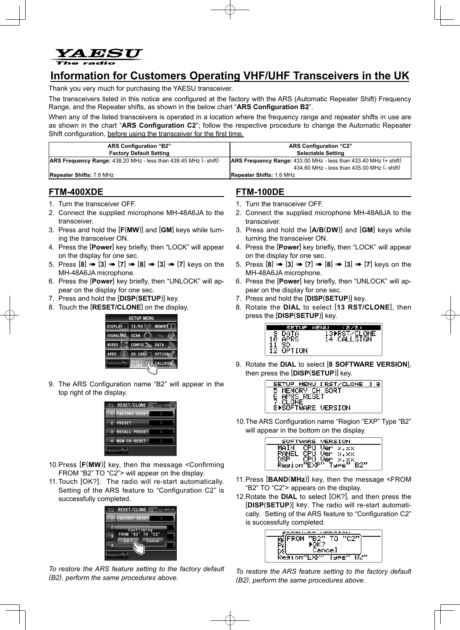

# **Information for Customers Operating VHF/UHF Transceivers in the UK**

Thank you very much for purchasing the YAESU transceiver.

The transceivers listed in this notice are configured at the factory with the ARS (Automatic Repeater Shift) Frequency Range, and the Repeater shifts, as shown in the below chart "ARS Configuration B2".

When any of the listed transceivers is operated in a location where the frequency range and repeater shifts in use are as shown in the chart "ARS Configuration C2"; follow the respective procedure to change the Automatic Repeater . Shift configuration, before using the transceiver for the first time.

| <b>ARS Configuration "B2"</b>                                           | <b>ARS Configuration "C2"</b>                                                |
|-------------------------------------------------------------------------|------------------------------------------------------------------------------|
| <b>Factory Default Setting</b>                                          | <b>Selectable Setting</b>                                                    |
| <b>ARS Frequency Range:</b> 438.20 MHz - less than 439.45 MHz (- shift) | <b>ARS Frequency Range:</b> 433.00 MHz - less than $433.40$ MHz $(+)$ shift) |
|                                                                         | 434.60 MHz - less than 435.00 MHz (- shift)                                  |
| <b>Repeater Shifts: 7.6 MHz</b>                                         | <b>Repeater Shifts: 1.6 MHz</b>                                              |

### **FTM-400XDE**

- 1. Turn the transceiver OFF.
- 2. Connect the supplied microphone MH-48A6JA to the transceiver.
- 3. Press and hold the [**F(MW**)] and [GM] keys while turn-<br>ing the transceiver ON.
- 4. Press the [Power] key briefly, then "LOCK" will appear on the display for one sec.
- 5. Press [8] **4** [3] **4** [7] **4**  $[3]$  **4**  $[8]$  **4**  $[3]$  **4**  $[7]$  keys on the MH-48A6JA microphone.
- 6. Press the [**Power**] key briefly, then "UNLOCK" will appropear on the display for one sec.
- 7. Press and hold the [DISP(SETUP)] key.
- 8. Touch the [RESET/CLONE] on the display.



9. The ARS Configuration name "B2" will appear in the top right of the display.



- 10. Press [F(MW)] key, then the message < Confirming FROM "B2" TO "C2"> will appear on the display.
- 11. Touch [OK?]. The radio will re-start automatically. Setting of the ARS feature to "Configuration C2" is successfully completed.



To restore the ARS feature setting to the factory default *(B2), perform the same procedures above.* 

# **FTM-100DE**

- 1. Turn the transceiver OFF.
- 2. Connect the supplied microphone MH-48A6JA to the transceiver.
- 3. Press and hold the [A/B(DW)] and [GM] keys while turning the transceiver ON.
- 4. Press the [Power] key briefly, then "LOCK" will appear on the display for one sec.
- 5. Press [8] **4** [3] **4** [7] **4**  $[3]$  **4**  $[8]$  **4**  $[3]$  **4**  $[7]$  keys on the MH-48A6JA microphone.
- 6. Press the [**Power**] key briefly, then "UNLOCK" will appropear on the display for one sec.
- 7. Press and hold the [DISP(SETUP)] key.
- 8. Rotate the DIAL to select [13 RST/CLONE], then press the [DISP(SETUP)] key.



9. Rotate the DIAL to select [8 SOFTWARE VERSION], then press the [DISP(SETUP)] key.

| SETUP MENU [RST/CLONE ]   | я |
|---------------------------|---|
| 5 MEMORY CH SORT          |   |
| APRS RESET                |   |
| 7 CLONE                   |   |
| <b>S▶SOFTWARE UERSION</b> |   |

10. The ARS Configuration name "Region "EXP" Type "B2" will appear in the bottom on the display.

| SOFTWARE VERSION |          |
|------------------|----------|
| CPH.<br>MAIN     | Ver x.xx |
| CPU              | Ver x.xx |
| CPLI<br>DSP      | Ver x.xx |
| Region"EXP"      | Гуғе"    |

- 11. Press [BAND(MHz)] key, then the message <FROM "B2" TO "C2"> appears on the display.
- 12. Rotate the **DIAL** to select [OK?], and then press the cally. Setting of the ARS feature to "Configuration C2" **[DISP(SETUP)]** key. The radio will re-start automatiis successfully completed.

| 55 UESSIAU   |                           |  |
|--------------|---------------------------|--|
| <b>PR227</b> | тп<br>771                 |  |
|              |                           |  |
| Jancel       |                           |  |
| Kesion~EXP   | ਰ :<br>Lypp <sup>22</sup> |  |

To restore the ARS feature setting to the factory default *(B2), perform the same procedures above.*